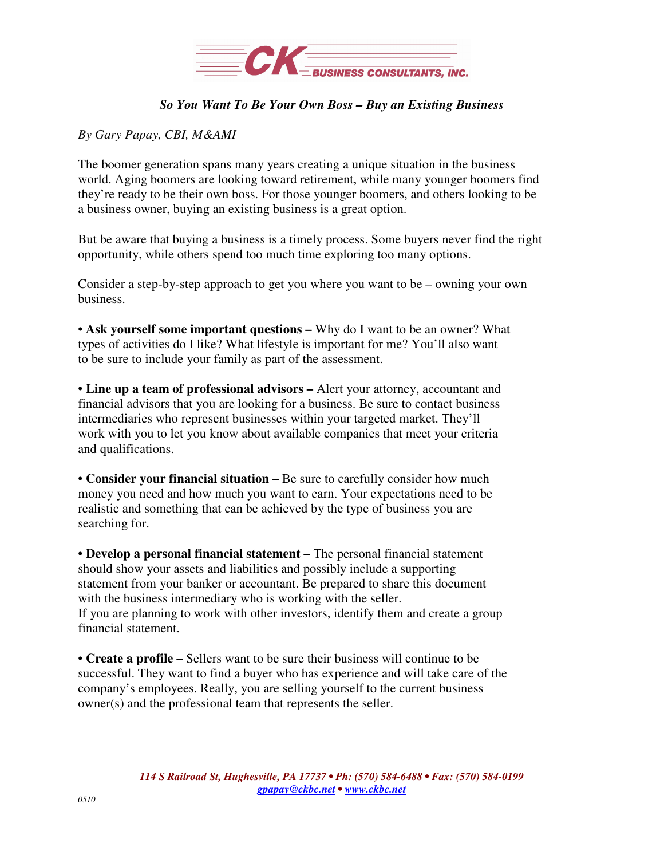

## *So You Want To Be Your Own Boss – Buy an Existing Business*

## *By Gary Papay, CBI, M&AMI*

The boomer generation spans many years creating a unique situation in the business world. Aging boomers are looking toward retirement, while many younger boomers find they're ready to be their own boss. For those younger boomers, and others looking to be a business owner, buying an existing business is a great option.

But be aware that buying a business is a timely process. Some buyers never find the right opportunity, while others spend too much time exploring too many options.

Consider a step-by-step approach to get you where you want to be – owning your own business.

• **Ask yourself some important questions –** Why do I want to be an owner? What types of activities do I like? What lifestyle is important for me? You'll also want to be sure to include your family as part of the assessment.

• **Line up a team of professional advisors –** Alert your attorney, accountant and financial advisors that you are looking for a business. Be sure to contact business intermediaries who represent businesses within your targeted market. They'll work with you to let you know about available companies that meet your criteria and qualifications.

• **Consider your financial situation –** Be sure to carefully consider how much money you need and how much you want to earn. Your expectations need to be realistic and something that can be achieved by the type of business you are searching for.

• **Develop a personal financial statement –** The personal financial statement should show your assets and liabilities and possibly include a supporting statement from your banker or accountant. Be prepared to share this document with the business intermediary who is working with the seller. If you are planning to work with other investors, identify them and create a group financial statement.

• **Create a profile –** Sellers want to be sure their business will continue to be successful. They want to find a buyer who has experience and will take care of the company's employees. Really, you are selling yourself to the current business owner(s) and the professional team that represents the seller.